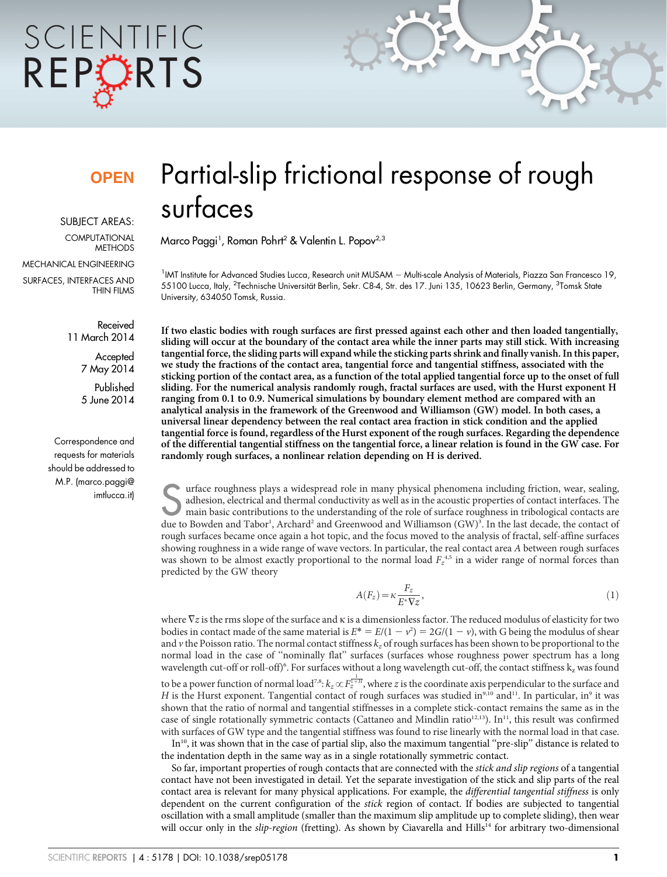# SCIENTIFIC REPCRTS

### **OPEN**

SUBJECT AREAS:

**COMPUTATIONAL METHODS** 

MECHANICAL ENGINEERING SURFACES, INTERFACES AND

THIN FILMS

Received 11 March 2014

> **Accepted** 7 May 2014

Published 5 June 2014

Correspondence and requests for materials should be addressed to M.P. (marco.paggi@ imtlucca.it)

## Partial-slip frictional response of rough surfaces

Marco Paggi<sup>1</sup>, Roman Pohrt<sup>2</sup> & Valentin L. Popov<sup>2,3</sup>

<sup>1</sup>IMT Institute for Advanced Studies Lucca, Research unit MUSAM – Multi-scale Analysis of Materials, Piazza San Francesco 19, 55100 Lucca, Italy, <sup>2</sup>Technische Universität Berlin, Sekr. C8-4, Str. des 17. Juni 135, 10623 Berlin, Germany, <sup>3</sup>Tomsk State University, 634050 Tomsk, Russia.

If two elastic bodies with rough surfaces are first pressed against each other and then loaded tangentially, sliding will occur at the boundary of the contact area while the inner parts may still stick. With increasing tangential force, the sliding parts will expand while the sticking parts shrink and finally vanish. In this paper, we study the fractions of the contact area, tangential force and tangential stiffness, associated with the sticking portion of the contact area, as a function of the total applied tangential force up to the onset of full sliding. For the numerical analysis randomly rough, fractal surfaces are used, with the Hurst exponent H ranging from 0.1 to 0.9. Numerical simulations by boundary element method are compared with an analytical analysis in the framework of the Greenwood and Williamson (GW) model. In both cases, a universal linear dependency between the real contact area fraction in stick condition and the applied tangential force is found, regardless of the Hurst exponent of the rough surfaces. Regarding the dependence of the differential tangential stiffness on the tangential force, a linear relation is found in the GW case. For randomly rough surfaces, a nonlinear relation depending on H is derived.

Turface roughness plays a widespread role in many physical phenomena including friction, wear, sealing, adhesion, electrical and thermal conductivity as well as in the acoustic properties of contact interfaces. The main b adhesion, electrical and thermal conductivity as well as in the acoustic properties of contact interfaces. The due to Bowden and Tabor<sup>1</sup>, Archard<sup>2</sup> and Greenwood and Williamson (GW)<sup>3</sup>. In the last decade, the contact of rough surfaces became once again a hot topic, and the focus moved to the analysis of fractal, self-affine surfaces showing roughness in a wide range of wave vectors. In particular, the real contact area A between rough surfaces was shown to be almost exactly proportional to the normal load  $F_z^{4,5}$  in a wider range of normal forces than predicted by the GW theory

$$
A(F_z) = \kappa \frac{F_z}{E^* \nabla z},\tag{1}
$$

where  $\nabla z$  is the rms slope of the surface and  $\kappa$  is a dimensionless factor. The reduced modulus of elasticity for two bodies in contact made of the same material is  $E^* = E/(1 - v^2) = 2G/(1 - v)$ , with G being the modulus of shear and v the Poisson ratio. The normal contact stiffness  $k_z$  of rough surfaces has been shown to be proportional to the normal load in the case of ''nominally flat'' surfaces (surfaces whose roughness power spectrum has a long wavelength cut-off or roll-off)<sup>6</sup>. For surfaces without a long wavelength cut-off, the contact stiffness  $k_z$  was found

to be a power function of normal load<sup>7,8</sup>:  $k_z\!\propto\!F_z^{1\!+\!H},$  where  $z$  is the coordinate axis perpendicular to the surface and H is the Hurst exponent. Tangential contact of rough surfaces was studied in<sup>9,10</sup> and<sup>11</sup>. In particular, in<sup>9</sup> it was shown that the ratio of normal and tangential stiffnesses in a complete stick-contact remains the same as in the case of single rotationally symmetric contacts (Cattaneo and Mindlin ratio<sup>12,13</sup>). In<sup>11</sup>, this result was confirmed with surfaces of GW type and the tangential stiffness was found to rise linearly with the normal load in that case.

 $In<sup>10</sup>$ , it was shown that in the case of partial slip, also the maximum tangential "pre-slip" distance is related to the indentation depth in the same way as in a single rotationally symmetric contact.

So far, important properties of rough contacts that are connected with the stick and slip regions of a tangential contact have not been investigated in detail. Yet the separate investigation of the stick and slip parts of the real contact area is relevant for many physical applications. For example, the differential tangential stiffness is only dependent on the current configuration of the stick region of contact. If bodies are subjected to tangential oscillation with a small amplitude (smaller than the maximum slip amplitude up to complete sliding), then wear will occur only in the slip-region (fretting). As shown by Ciavarella and Hills<sup>14</sup> for arbitrary two-dimensional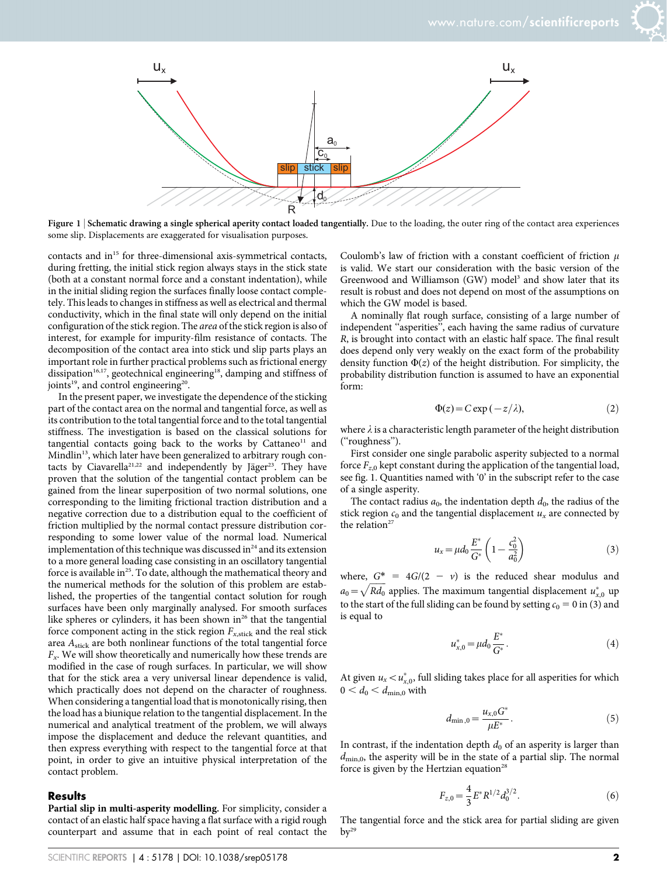

Figure 1 <sup>|</sup> Schematic drawing a single spherical aperity contact loaded tangentially. Due to the loading, the outer ring of the contact area experiences some slip. Displacements are exaggerated for visualisation purposes.

contacts and in<sup>15</sup> for three-dimensional axis-symmetrical contacts, during fretting, the initial stick region always stays in the stick state (both at a constant normal force and a constant indentation), while in the initial sliding region the surfaces finally loose contact completely. This leads to changes in stiffness as well as electrical and thermal conductivity, which in the final state will only depend on the initial configuration of the stick region. The area of the stick region is also of interest, for example for impurity-film resistance of contacts. The decomposition of the contact area into stick und slip parts plays an important role in further practical problems such as frictional energy dissipation<sup>16,17</sup>, geotechnical engineering<sup>18</sup>, damping and stiffness of joints<sup>19</sup>, and control engineering<sup>20</sup>.

In the present paper, we investigate the dependence of the sticking part of the contact area on the normal and tangential force, as well as its contribution to the total tangential force and to the total tangential stiffness. The investigation is based on the classical solutions for tangential contacts going back to the works by Cattaneo<sup>11</sup> and Mindlin<sup>13</sup>, which later have been generalized to arbitrary rough contacts by Ciavarella<sup>21,22</sup> and independently by Jäger<sup>23</sup>. They have proven that the solution of the tangential contact problem can be gained from the linear superposition of two normal solutions, one corresponding to the limiting frictional traction distribution and a negative correction due to a distribution equal to the coefficient of friction multiplied by the normal contact pressure distribution corresponding to some lower value of the normal load. Numerical implementation of this technique was discussed in $^{24}$  and its extension to a more general loading case consisting in an oscillatory tangential force is available in<sup>25</sup>. To date, although the mathematical theory and the numerical methods for the solution of this problem are established, the properties of the tangential contact solution for rough surfaces have been only marginally analysed. For smooth surfaces like spheres or cylinders, it has been shown in $26$  that the tangential force component acting in the stick region  $F_{x,\text{stick}}$  and the real stick area  $A_{\text{stick}}$  are both nonlinear functions of the total tangential force  $F<sub>x</sub>$ . We will show theoretically and numerically how these trends are modified in the case of rough surfaces. In particular, we will show that for the stick area a very universal linear dependence is valid, which practically does not depend on the character of roughness. When considering a tangential load that is monotonically rising, then the load has a biunique relation to the tangential displacement. In the numerical and analytical treatment of the problem, we will always impose the displacement and deduce the relevant quantities, and then express everything with respect to the tangential force at that point, in order to give an intuitive physical interpretation of the contact problem.

#### **Results**

Partial slip in multi-asperity modelling. For simplicity, consider a contact of an elastic half space having a flat surface with a rigid rough counterpart and assume that in each point of real contact the Coulomb's law of friction with a constant coefficient of friction  $\mu$ is valid. We start our consideration with the basic version of the Greenwood and Williamson (GW) model<sup>3</sup> and show later that its result is robust and does not depend on most of the assumptions on which the GW model is based.

A nominally flat rough surface, consisting of a large number of independent ''asperities'', each having the same radius of curvature R, is brought into contact with an elastic half space. The final result does depend only very weakly on the exact form of the probability density function  $\Phi(z)$  of the height distribution. For simplicity, the probability distribution function is assumed to have an exponential form:

$$
\Phi(z) = C \exp(-z/\lambda),\tag{2}
$$

where  $\lambda$  is a characteristic length parameter of the height distribution (''roughness'').

First consider one single parabolic asperity subjected to a normal force  $F_{z,0}$  kept constant during the application of the tangential load, see fig. 1. Quantities named with '0' in the subscript refer to the case of a single asperity.

The contact radius  $a_0$ , the indentation depth  $d_0$ , the radius of the stick region  $c_0$  and the tangential displacement  $u_x$  are connected by the relation<sup>27</sup>

$$
u_x = \mu d_0 \frac{E^*}{G^*} \left( 1 - \frac{c_0^2}{a_0^2} \right) \tag{3}
$$

where,  $G^* = 4G/(2 - v)$  is the reduced shear modulus and  $a_0 = \sqrt{Rd_0}$  applies. The maximum tangential displacement  $u_{x,0}^*$  up to the start of the full sliding can be found by setting  $c_0 = 0$  in (3) and is equal to

$$
u_{x,0}^* = \mu d_0 \frac{E^*}{G^*}.
$$
 (4)

At given  $u_x < u_{x,0}^*$ , full sliding takes place for all asperities for which  $0 < d_0 < d_{\text{min},0}$  with

$$
d_{\min,0} = \frac{u_{x,0}G^*}{\mu E^*}.
$$
 (5)

In contrast, if the indentation depth  $d_0$  of an asperity is larger than  $d_{\text{min},0}$ , the asperity will be in the state of a partial slip. The normal force is given by the Hertzian equation $28$ 

$$
F_{z,0} = \frac{4}{3} E^* R^{1/2} d_0^{3/2}.
$$
 (6)

The tangential force and the stick area for partial sliding are given  $bv^{29}$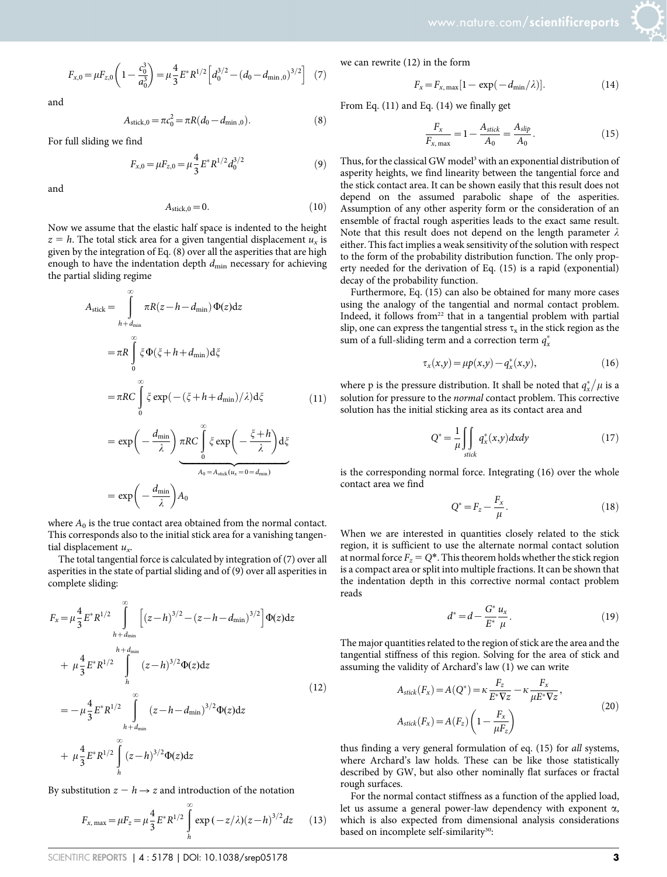$$
F_{x,0} = \mu F_{z,0} \left( 1 - \frac{c_0^3}{a_0^3} \right) = \mu \frac{4}{3} E^* R^{1/2} \left[ d_0^{3/2} - (d_0 - d_{\min,0})^{3/2} \right] \tag{7}
$$

and

$$
A_{\text{stick},0} = \pi c_0^2 = \pi R (d_0 - d_{\text{min},0}).
$$
\n(8)

For full sliding we find

$$
F_{x,0} = \mu F_{z,0} = \mu \frac{4}{3} E^* R^{1/2} d_0^{3/2}
$$
 (9)

and

$$
A_{\text{stick},0} = 0. \tag{10}
$$

Now we assume that the elastic half space is indented to the height  $z = h$ . The total stick area for a given tangential displacement  $u_x$  is given by the integration of Eq. (8) over all the asperities that are high enough to have the indentation depth  $d_{\text{min}}$  necessary for achieving the partial sliding regime

$$
A_{\text{stick}} = \int_{h + d_{\text{min}}}^{\infty} \pi R(z - h - d_{\text{min}}) \Phi(z) dz
$$
  
\n
$$
= \pi R \int_{0}^{\infty} \xi \Phi(\xi + h + d_{\text{min}}) d\xi
$$
  
\n
$$
= \pi R C \int_{0}^{\infty} \xi \exp(-(\xi + h + d_{\text{min}})/\lambda) d\xi
$$
(11)  
\n
$$
= \exp\left(-\frac{d_{\text{min}}}{\lambda}\right) \pi R C \int_{0}^{\infty} \xi \exp\left(-\frac{\xi + h}{\lambda}\right) d\xi
$$
  
\n
$$
A_{0} = A_{\text{stick}}(u_{x} = 0 = d_{\text{min}})
$$
  
\n
$$
= \exp\left(-\frac{d_{\text{min}}}{\lambda}\right) A_{0}
$$

where  $A_0$  is the true contact area obtained from the normal contact. This corresponds also to the initial stick area for a vanishing tangential displacement  $u_x$ .

The total tangential force is calculated by integration of (7) over all asperities in the state of partial sliding and of (9) over all asperities in complete sliding:

$$
F_x = \mu \frac{4}{3} E^* R^{1/2} \int_{h + d_{\text{min}}}^{\infty} \left[ (z - h)^{3/2} - (z - h - d_{\text{min}})^{3/2} \right] \Phi(z) dz
$$
  
+ 
$$
\mu \frac{4}{3} E^* R^{1/2} \int_{h}^{h + d_{\text{min}}} (z - h)^{3/2} \Phi(z) dz
$$
  
= 
$$
- \mu \frac{4}{3} E^* R^{1/2} \int_{h + d_{\text{min}}}^{\infty} (z - h - d_{\text{min}})^{3/2} \Phi(z) dz
$$
  
+ 
$$
\mu \frac{4}{3} E^* R^{1/2} \int_{h}^{\infty} (z - h)^{3/2} \Phi(z) dz
$$
 (12)

By substitution  $z - h \rightarrow z$  and introduction of the notation

$$
F_{x, \max} = \mu F_z = \mu \frac{4}{3} E^* R^{1/2} \int\limits_{h}^{\infty} \exp(-z/\lambda)(z-h)^{3/2} dz \qquad (13)
$$

we can rewrite (12) in the form

$$
F_x = F_{x, \max}[1 - \exp(-d_{\min}/\lambda)].
$$
 (14)

From Eq. (11) and Eq. (14) we finally get

$$
\frac{F_x}{F_{x,\text{max}}} = 1 - \frac{A_{stick}}{A_0} = \frac{A_{slip}}{A_0}.
$$
 (15)

Thus, for the classical GW model<sup>3</sup> with an exponential distribution of asperity heights, we find linearity between the tangential force and the stick contact area. It can be shown easily that this result does not depend on the assumed parabolic shape of the asperities. Assumption of any other asperity form or the consideration of an ensemble of fractal rough asperities leads to the exact same result. Note that this result does not depend on the length parameter  $\lambda$ either. This fact implies a weak sensitivity of the solution with respect to the form of the probability distribution function. The only property needed for the derivation of Eq. (15) is a rapid (exponential) decay of the probability function.

Furthermore, Eq. (15) can also be obtained for many more cases using the analogy of the tangential and normal contact problem. Indeed, it follows from<sup>22</sup> that in a tangential problem with partial slip, one can express the tangential stress  $\tau_x$  in the stick region as the sum of a full-sliding term and a correction term  $q_x^*$ 

$$
\tau_x(x,y) = \mu p(x,y) - q_x^*(x,y), \tag{16}
$$

where p is the pressure distribution. It shall be noted that  $q_x^*/\mu$  is a solution for pressure to the normal contact problem. This corrective solution has the initial sticking area as its contact area and

$$
Q^* = \frac{1}{\mu} \iint_{stick} q_x^*(x, y) dx dy
$$
 (17)

is the corresponding normal force. Integrating (16) over the whole contact area we find

$$
Q^* = F_z - \frac{F_x}{\mu}.\tag{18}
$$

When we are interested in quantities closely related to the stick region, it is sufficient to use the alternate normal contact solution at normal force  $F_z = Q^*$ . This theorem holds whether the stick region is a compact area or split into multiple fractions. It can be shown that the indentation depth in this corrective normal contact problem reads

$$
d^* = d - \frac{G^*}{E^*} \frac{u_x}{\mu}.
$$
\n(19)

The major quantities related to the region of stick are the area and the tangential stiffness of this region. Solving for the area of stick and assuming the validity of Archard's law (1) we can write

$$
A_{stick}(F_x) = A(Q^*) = \kappa \frac{F_z}{E^* \nabla z} - \kappa \frac{F_x}{\mu E^* \nabla z},
$$
  

$$
A_{stick}(F_x) = A(F_z) \left(1 - \frac{F_x}{\mu F_z}\right)
$$
 (20)

thus finding a very general formulation of eq. (15) for all systems, where Archard's law holds. These can be like those statistically described by GW, but also other nominally flat surfaces or fractal rough surfaces.

For the normal contact stiffness as a function of the applied load, let us assume a general power-law dependency with exponent  $\alpha$ , which is also expected from dimensional analysis considerations based on incomplete self-similarity<sup>30</sup>: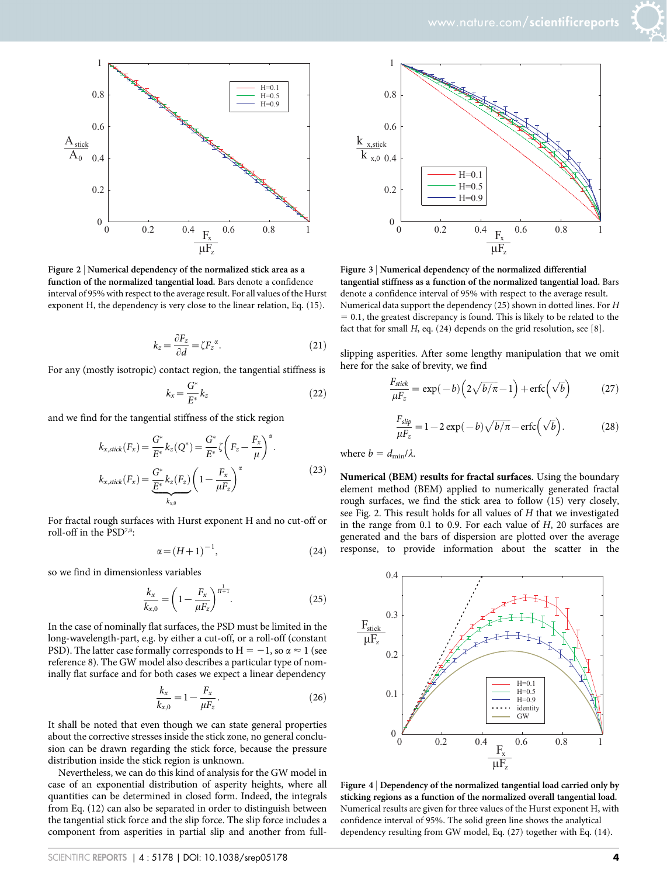

Figure 2 <sup>|</sup> Numerical dependency of the normalized stick area as a function of the normalized tangential load. Bars denote a confidence interval of 95% with respect to the average result. For all values of the Hurst exponent H, the dependency is very close to the linear relation, Eq. (15).

$$
k_z = \frac{\partial F_z}{\partial d} = \zeta F_z^{\alpha}.
$$
 (21)

For any (mostly isotropic) contact region, the tangential stiffness is

$$
k_x = \frac{G^*}{E^*} k_z \tag{22}
$$

and we find for the tangential stiffness of the stick region

$$
k_{x,stick}(F_x) = \frac{G^*}{E^*} k_z(Q^*) = \frac{G^*}{E^*} \zeta \left(F_z - \frac{F_x}{\mu}\right)^{\alpha}.
$$
  

$$
k_{x, stick}(F_x) = \frac{G^*}{\frac{E^*}{\mu}} k_z(F_z) \left(1 - \frac{F_x}{\mu F_z}\right)^{\alpha}
$$
 (23)

For fractal rough surfaces with Hurst exponent H and no cut-off or roll-off in the PSD<sup>7,8</sup>:

$$
\alpha = \left(H + 1\right)^{-1},\tag{24}
$$

so we find in dimensionless variables

$$
\frac{k_x}{k_{x,0}} = \left(1 - \frac{F_x}{\mu F_z}\right)^{\frac{1}{H+1}}.\tag{25}
$$

In the case of nominally flat surfaces, the PSD must be limited in the long-wavelength-part, e.g. by either a cut-off, or a roll-off (constant PSD). The latter case formally corresponds to  $H = -1$ , so  $\alpha \approx 1$  (see reference 8). The GW model also describes a particular type of nominally flat surface and for both cases we expect a linear dependency

$$
\frac{k_x}{k_{x,0}} = 1 - \frac{F_x}{\mu F_z}.
$$
 (26)

It shall be noted that even though we can state general properties about the corrective stresses inside the stick zone, no general conclusion can be drawn regarding the stick force, because the pressure distribution inside the stick region is unknown.

Nevertheless, we can do this kind of analysis for the GW model in case of an exponential distribution of asperity heights, where all quantities can be determined in closed form. Indeed, the integrals from Eq. (12) can also be separated in order to distinguish between the tangential stick force and the slip force. The slip force includes a component from asperities in partial slip and another from full-



Figure 3 <sup>|</sup> Numerical dependency of the normalized differential tangential stiffness as a function of the normalized tangential load. Bars denote a confidence interval of 95% with respect to the average result. Numerical data support the dependency (25) shown in dotted lines. For H  $= 0.1$ , the greatest discrepancy is found. This is likely to be related to the fact that for small  $H$ , eq. (24) depends on the grid resolution, see [8].

slipping asperities. After some lengthy manipulation that we omit here for the sake of brevity, we find

$$
\frac{F_{stick}}{\mu F_z} = \exp(-b) \left( 2\sqrt{b/\pi} - 1 \right) + \text{erfc} \left( \sqrt{b} \right) \tag{27}
$$

$$
\frac{F_{slip}}{\mu F_z} = 1 - 2 \exp(-b) \sqrt{b/\pi} - \text{erfc}\left(\sqrt{b}\right). \tag{28}
$$

where  $b = d_{\min}/\lambda$ .

Numerical (BEM) results for fractal surfaces. Using the boundary element method (BEM) applied to numerically generated fractal rough surfaces, we find the stick area to follow (15) very closely, see Fig. 2. This result holds for all values of H that we investigated in the range from 0.1 to 0.9. For each value of H, 20 surfaces are generated and the bars of dispersion are plotted over the average response, to provide information about the scatter in the



Figure 4 <sup>|</sup> Dependency of the normalized tangential load carried only by sticking regions as a function of the normalized overall tangential load. Numerical results are given for three values of the Hurst exponent H, with confidence interval of 95%. The solid green line shows the analytical dependency resulting from GW model, Eq. (27) together with Eq. (14).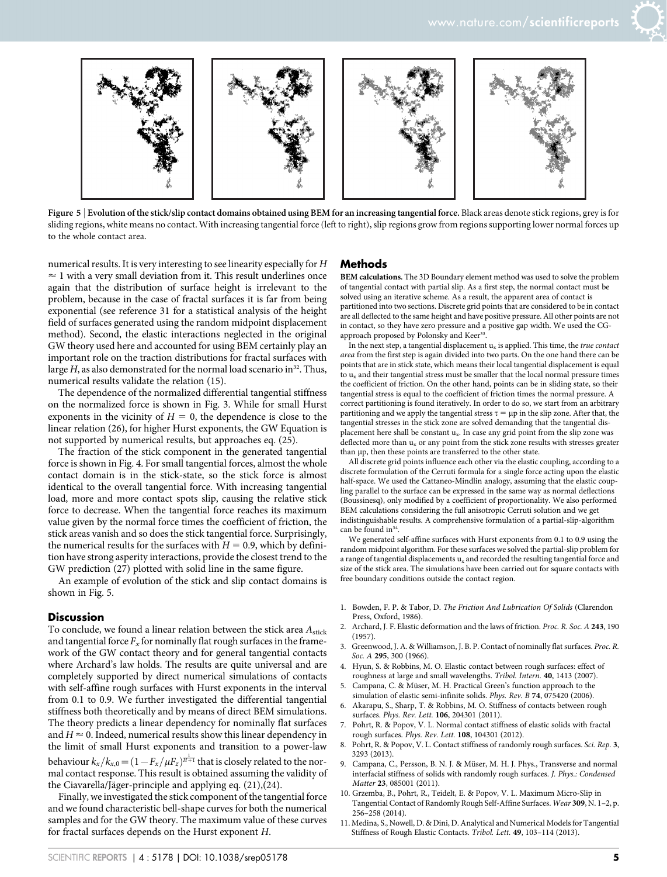



Figure 5 | Evolution of the stick/slip contact domains obtained using BEM for an increasing tangential force. Black areas denote stick regions, grey is for sliding regions, white means no contact. With increasing tangential force (left to right), slip regions grow from regions supporting lower normal forces up to the whole contact area.

numerical results. It is very interesting to see linearity especially for H  $\approx$  1 with a very small deviation from it. This result underlines once again that the distribution of surface height is irrelevant to the problem, because in the case of fractal surfaces it is far from being exponential (see reference 31 for a statistical analysis of the height field of surfaces generated using the random midpoint displacement method). Second, the elastic interactions neglected in the original GW theory used here and accounted for using BEM certainly play an important role on the traction distributions for fractal surfaces with large  $H$ , as also demonstrated for the normal load scenario in<sup>32</sup>. Thus, numerical results validate the relation (15).

The dependence of the normalized differential tangential stiffness on the normalized force is shown in Fig. 3. While for small Hurst exponents in the vicinity of  $H = 0$ , the dependence is close to the linear relation (26), for higher Hurst exponents, the GW Equation is not supported by numerical results, but approaches eq. (25).

The fraction of the stick component in the generated tangential force is shown in Fig. 4. For small tangential forces, almost the whole contact domain is in the stick-state, so the stick force is almost identical to the overall tangential force. With increasing tangential load, more and more contact spots slip, causing the relative stick force to decrease. When the tangential force reaches its maximum value given by the normal force times the coefficient of friction, the stick areas vanish and so does the stick tangential force. Surprisingly, the numerical results for the surfaces with  $H = 0.9$ , which by definition have strong asperity interactions, provide the closest trend to the GW prediction (27) plotted with solid line in the same figure.

An example of evolution of the stick and slip contact domains is shown in Fig. 5.

#### **Discussion**

To conclude, we found a linear relation between the stick area  $A_{\rm stick}$ and tangential force  $F_x$  for nominally flat rough surfaces in the framework of the GW contact theory and for general tangential contacts where Archard's law holds. The results are quite universal and are completely supported by direct numerical simulations of contacts with self-affine rough surfaces with Hurst exponents in the interval from 0.1 to 0.9. We further investigated the differential tangential stiffness both theoretically and by means of direct BEM simulations. The theory predicts a linear dependency for nominally flat surfaces and  $H \approx 0$ . Indeed, numerical results show this linear dependency in the limit of small Hurst exponents and transition to a power-law behaviour  $k_{x}/k_{x,0}$   $=$   $(1-F_{x}/\mu F_{z})^{\frac{1}{H+1}}$  that is closely related to the normal contact response. This result is obtained assuming the validity of the Ciavarella/Jäger-principle and applying eq. (21),(24).

Finally, we investigated the stick component of the tangential force and we found characteristic bell-shape curves for both the numerical samples and for the GW theory. The maximum value of these curves for fractal surfaces depends on the Hurst exponent H.

#### **Methods**

BEM calculations. The 3D Boundary element method was used to solve the problem of tangential contact with partial slip. As a first step, the normal contact must be solved using an iterative scheme. As a result, the apparent area of contact is partitioned into two sections. Discrete grid points that are considered to be in contact are all deflected to the same height and have positive pressure. All other points are not in contact, so they have zero pressure and a positive gap width. We used the CGapproach proposed by Polonsky and Keer<sup>33</sup>

In the next step, a tangential displacement  $u<sub>x</sub>$  is applied. This time, the *true contact* area from the first step is again divided into two parts. On the one hand there can be points that are in stick state, which means their local tangential displacement is equal to  $u<sub>x</sub>$  and their tangential stress must be smaller that the local normal pressure times the coefficient of friction. On the other hand, points can be in sliding state, so their tangential stress is equal to the coefficient of friction times the normal pressure. A correct partitioning is found iteratively. In order to do so, we start from an arbitrary partitioning and we apply the tangential stress  $\tau = \mu p$  in the slip zone. After that, the tangential stresses in the stick zone are solved demanding that the tangential displacement here shall be constant u<sub>x</sub>. In case any grid point from the slip zone was deflected more than ux or any point from the stick zone results with stresses greater than µp, then these points are transferred to the other state.

All discrete grid points influence each other via the elastic coupling, according to a discrete formulation of the Cerruti formula for a single force acting upon the elastic half-space. We used the Cattaneo-Mindlin analogy, assuming that the elastic coupling parallel to the surface can be expressed in the same way as normal deflections (Boussinesq), only modified by a coefficient of proportionality. We also performed BEM calculations considering the full anisotropic Cerruti solution and we get indistinguishable results. A comprehensive formulation of a partial-slip-algorithm can be found in<sup>34</sup>.

We generated self-affine surfaces with Hurst exponents from 0.1 to 0.9 using the random midpoint algorithm. For these surfaces we solved the partial-slip problem for a range of tangential displacements ux and recorded the resulting tangential force and size of the stick area. The simulations have been carried out for square contacts with free boundary conditions outside the contact region.

- 1. Bowden, F. P. & Tabor, D. The Friction And Lubrication Of Solids (Clarendon Press, Oxford, 1986).
- 2. Archard, J. F. Elastic deformation and the laws of friction. Proc. R. Soc. A 243, 190 (1957).
- 3. Greenwood, J. A. & Williamson, J. B. P. Contact of nominally flat surfaces. Proc. R. Soc. A 295, 300 (1966).
- 4. Hyun, S. & Robbins, M. O. Elastic contact between rough surfaces: effect of roughness at large and small wavelengths. Tribol. Intern. 40, 1413 (2007).
- Campana, C. & Müser, M. H. Practical Green's function approach to the simulation of elastic semi-infinite solids. Phys. Rev. B 74, 075420 (2006).
- 6. Akarapu, S., Sharp, T. & Robbins, M. O. Stiffness of contacts between rough surfaces. Phys. Rev. Lett. 106, 204301 (2011).
- Pohrt, R. & Popov, V. L. Normal contact stiffness of elastic solids with fractal rough surfaces. Phys. Rev. Lett. 108, 104301 (2012).
- Pohrt, R. & Popov, V. L. Contact stiffness of randomly rough surfaces. Sci. Rep. 3, 3293 (2013).
- 9. Campana, C., Persson, B. N. J. & Müser, M. H. J. Phys., Transverse and normal interfacial stiffness of solids with randomly rough surfaces. J. Phys.: Condensed Matter 23, 085001 (2011).
- 10. Grzemba, B., Pohrt, R., Teidelt, E. & Popov, V. L. Maximum Micro-Slip in Tangential Contact of Randomly Rough Self-Affine Surfaces. Wear 309, N. 1–2, p. 256–258 (2014).
- 11. Medina, S., Nowell, D. & Dini, D. Analytical and Numerical Models for Tangential Stiffness of Rough Elastic Contacts. Tribol. Lett. 49, 103–114 (2013).